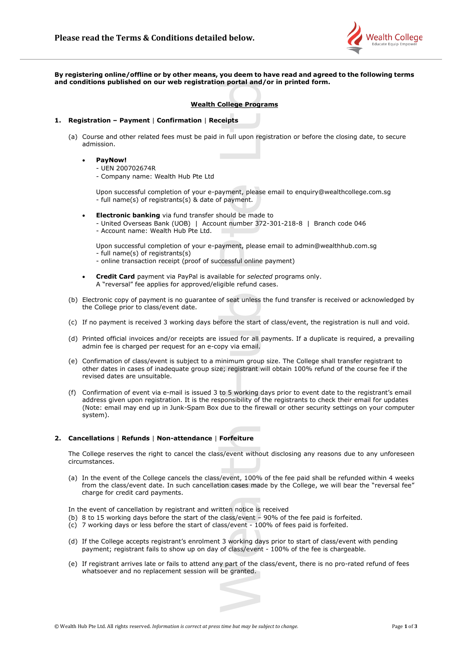

**By registering online/offline or by other means, you deem to have read and agreed to the following terms and conditions published on our web registration portal and/or in printed form.**

# **Wealth College Programs**

### **1. Registration – Payment** | **Confirmation** | **Receipts**

- (a) Course and other related fees must be paid in full upon registration or before the closing date, to secure admission.
	- **PayNow!**
		- UEN 200702674R
		- Company name: Wealth Hub Pte Ltd

Upon successful completion of your e-payment, please email to enquiry@wealthcollege.com.sg - full name(s) of registrants(s) & date of payment.

- **Electronic banking** via fund transfer should be made to
	- United Overseas Bank (UOB) | Account number 372-301-218-8 | Branch code 046 - Account name: Wealth Hub Pte Ltd.

Upon successful completion of your e-payment, please email to admin@wealthhub.com.sg - full name(s) of registrants(s)

- online transaction receipt (proof of successful online payment)
- **Credit Card** payment via PayPal is available for *selected* programs only. A "reversal" fee applies for approved/eligible refund cases.
- (b) Electronic copy of payment is no guarantee of seat unless the fund transfer is received or acknowledged by the College prior to class/event date.
- (c) If no payment is received 3 working days before the start of class/event, the registration is null and void.
- (d) Printed official invoices and/or receipts are issued for all payments. If a duplicate is required, a prevailing admin fee is charged per request for an e-copy via email.
- (e) Confirmation of class/event is subject to a minimum group size. The College shall transfer registrant to other dates in cases of inadequate group size; registrant will obtain 100% refund of the course fee if the revised dates are unsuitable.
- (f) Confirmation of event via e-mail is issued 3 to 5 working days prior to event date to the registrant's email address given upon registration. It is the responsibility of the registrants to check their email for updates (Note: email may end up in Junk-Spam Box due to the firewall or other security settings on your computer system). Wealth College Proposition of the College Proposition of the College Proposition - Payment | Confirmation | Receipts<br>
domission.<br>
• DEV 200702674R<br>
• UEDN 200702674R<br>
• UEDN 200702674R<br>
• UEDN 200702674R<br>
• UEDN 200702674R

# **2. Cancellations** | **Refunds** | **Non-attendance** | **Forfeiture**

The College reserves the right to cancel the class/event without disclosing any reasons due to any unforeseen circumstances.

(a) In the event of the College cancels the class/event, 100% of the fee paid shall be refunded within 4 weeks from the class/event date. In such cancellation cases made by the College, we will bear the "reversal fee" charge for credit card payments.

In the event of cancellation by registrant and written notice is received

- (b) 8 to 15 working days before the start of the class/event 90% of the fee paid is forfeited.
- (c) 7 working days or less before the start of class/event 100% of fees paid is forfeited.
- (d) If the College accepts registrant's enrolment 3 working days prior to start of class/event with pending payment; registrant fails to show up on day of class/event - 100% of the fee is chargeable.
- (e) If registrant arrives late or fails to attend any part of the class/event, there is no pro-rated refund of fees

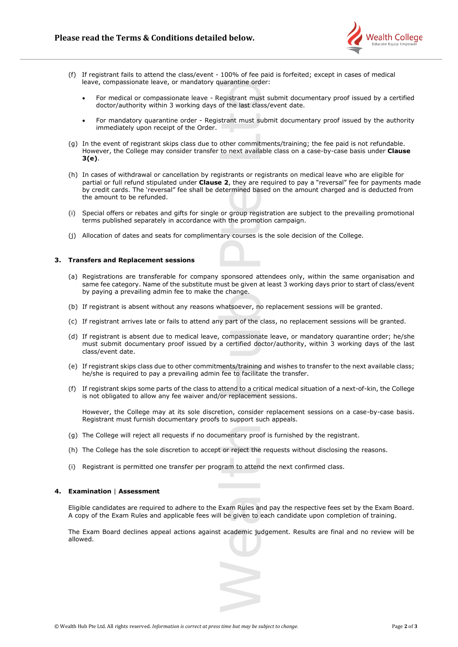

- (f) If registrant fails to attend the class/event 100% of fee paid is forfeited; except in cases of medical leave, compassionate leave, or mandatory quarantine order:
	- For medical or compassionate leave Registrant must submit documentary proof issued by a certified doctor/authority within 3 working days of the last class/event date.
	- For mandatory quarantine order Registrant must submit documentary proof issued by the authority immediately upon receipt of the Order.
- (g) In the event of registrant skips class due to other commitments/training; the fee paid is not refundable. However, the College may consider transfer to next available class on a case-by-case basis under **Clause 3(e)**.
- (h) In cases of withdrawal or cancellation by registrants or registrants on medical leave who are eligible for partial or full refund stipulated under **Clause 2**, they are required to pay a "reversal" fee for payments made by credit cards. The 'reversal" fee shall be determined based on the amount charged and is deducted from the amount to be refunded.
- (i) Special offers or rebates and gifts for single or group registration are subject to the prevailing promotional terms published separately in accordance with the promotion campaign.
- (j) Allocation of dates and seats for complimentary courses is the sole decision of the College.

## **3. Transfers and Replacement sessions**

- (a) Registrations are transferable for company sponsored attendees only, within the same organisation and same fee category. Name of the substitute must be given at least 3 working days prior to start of class/event by paying a prevailing admin fee to make the change.
- (b) If registrant is absent without any reasons whatsoever, no replacement sessions will be granted.
- (c) If registrant arrives late or fails to attend any part of the class, no replacement sessions will be granted.
- (d) If registrant is absent due to medical leave, compassionate leave, or mandatory quarantine order; he/she must submit documentary proof issued by a certified doctor/authority, within 3 working days of the last class/event date.
- (e) If registrant skips class due to other commitments/training and wishes to transfer to the next available class; he/she is required to pay a prevailing admin fee to facilitate the transfer.
- (f) If registrant skips some parts of the class to attend to a critical medical situation of a next-of-kin, the College is not obligated to allow any fee waiver and/or replacement sessions.

However, the College may at its sole discretion, consider replacement sessions on a case-by-case basis. Registrant must furnish documentary proofs to support such appeals.

- (g) The College will reject all requests if no documentary proof is furnished by the registrant.
- (h) The College has the sole discretion to accept or reject the requests without disclosing the reasons.
- (i) Registrant is permitted one transfer per program to attend the next confirmed class.

## **4. Examination** | **Assessment**

Eligible candidates are required to adhere to the Exam Rules and pay the respective fees set by the Exam Board. A copy of the Exam Rules and applicable fees will be given to each candidate upon completion of training.

The Exam Board declines appeal actions against academic judgement. Results are final and no review will be allowed.